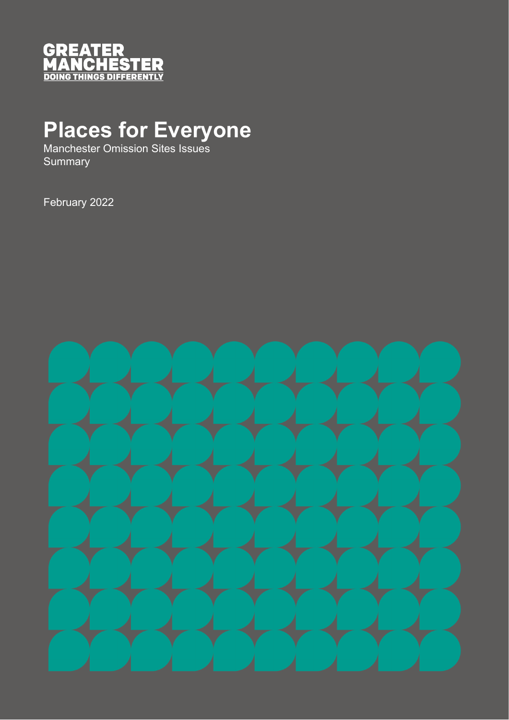

## **Places for Everyone**

Manchester Omission Sites Issues **Summary** 

February 2022